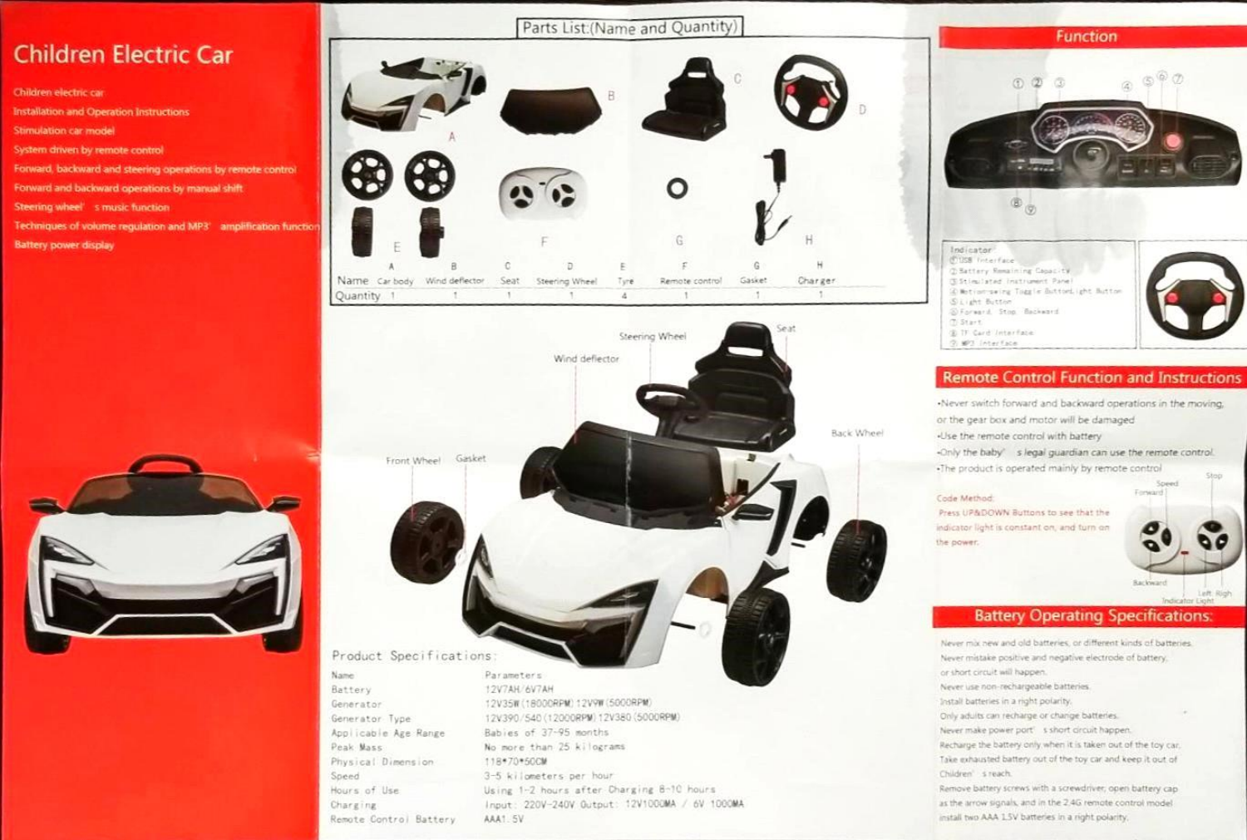## **Children Electric Car**

Children electric car

**Installation and Operation Instructions** 

**Stimulation car model** 

System driven by remote control

Forward, backward and steering operations by remote control.

Forward and backward operations by manual shift

Steering wheel smusic function

Techniques of volume regulation and MP3' amplification function Battery power display







Product Specifications

Name: Battery Generator Generator Type Applicable Age Range Peak Mass Physical Dimension Speed Hours of Use Charging Remote Control Battery

12V7AH/6V7AH 12V35W (18000RPM) 12V9W (5000RPM) 12V390/540 (12000RPM) 12V380 (5000RPM) Babies of 37-95 months No more than 25 kilograms. 118\*70\*50CM 3-5 kilometers per hour Using 1-2 hours after Charging 8-10 hours Input: 220V-240V Gutput: 12V1000MA / 6V 1000MA AAA1.5V



Function

## **Remote Control Function and Instructions**

-Never switch forward and backward operations in the moving, or the gear box and motor will be damaged -Use the remote control with battery -Only the baby' s legal guardian can use the remote control. -The product is operated mainly by remote control

Code Method:

Press UP&DOWN Buttons to see that the indicator light is constant on, and turn on the power.



Left, Right

## **Battery Operating Specifications:**

Never mix new and old batteries, or different kinds of batteries. Never mistake positive and negative electrode of battery. or short circuit will happen. Never use non-rechargeable batteries. Install batteries in a right polarity. Only adults can recharge or change batteries. Never make power port" s short circuit happen. Recharge the battery only when it is taken out of the toy car. Take exhausted battery out of the toy car and keep it out of Children' s reach. Remove battery screws with a screwdriver, open battery cap as the arrow signals, and in the 2.4G remote control model install two AAA 1.5V batteries in a right polarity.